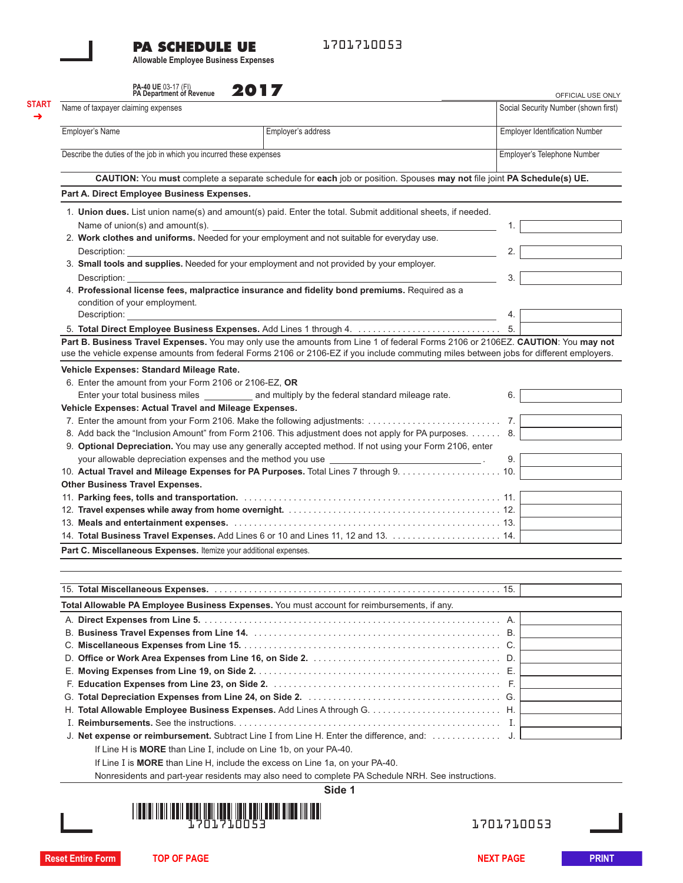## **PA SCHEDULE UE**

1701710053

**Allowable Employee Business Expenses**

| PA-40 UE 03-17 (FI)<br>PA Department of Revenue |  |
|-------------------------------------------------|--|
|                                                 |  |
|                                                 |  |

| Name of taxpayer claiming expenses                                  |                                                                                                                                                                                                                                                                             |                                       | Social Security Number (shown first) |
|---------------------------------------------------------------------|-----------------------------------------------------------------------------------------------------------------------------------------------------------------------------------------------------------------------------------------------------------------------------|---------------------------------------|--------------------------------------|
|                                                                     |                                                                                                                                                                                                                                                                             |                                       |                                      |
| Employer's Name                                                     | Employer's address                                                                                                                                                                                                                                                          | <b>Employer Identification Number</b> |                                      |
| Describe the duties of the job in which you incurred these expenses |                                                                                                                                                                                                                                                                             |                                       | Employer's Telephone Number          |
|                                                                     | CAUTION: You must complete a separate schedule for each job or position. Spouses may not file joint PA Schedule(s) UE.                                                                                                                                                      |                                       |                                      |
| Part A. Direct Employee Business Expenses.                          |                                                                                                                                                                                                                                                                             |                                       |                                      |
|                                                                     | 1. Union dues. List union name(s) and amount(s) paid. Enter the total. Submit additional sheets, if needed.                                                                                                                                                                 |                                       |                                      |
|                                                                     | Name of union(s) and amount(s). $\Box$                                                                                                                                                                                                                                      | 1.                                    |                                      |
|                                                                     | 2. Work clothes and uniforms. Needed for your employment and not suitable for everyday use.                                                                                                                                                                                 |                                       |                                      |
| Description:                                                        |                                                                                                                                                                                                                                                                             | 2.                                    |                                      |
| Description:                                                        | 3. Small tools and supplies. Needed for your employment and not provided by your employer.                                                                                                                                                                                  | 3.                                    |                                      |
| condition of your employment.                                       | 4. Professional license fees, malpractice insurance and fidelity bond premiums. Required as a                                                                                                                                                                               |                                       |                                      |
| Description: <b>Example</b>                                         |                                                                                                                                                                                                                                                                             | 4.                                    |                                      |
|                                                                     |                                                                                                                                                                                                                                                                             | 5.                                    |                                      |
|                                                                     | Part B. Business Travel Expenses. You may only use the amounts from Line 1 of federal Forms 2106 or 2106EZ. CAUTION: You may not<br>use the vehicle expense amounts from federal Forms 2106 or 2106-EZ if you include commuting miles between jobs for different employers. |                                       |                                      |
| Vehicle Expenses: Standard Mileage Rate.                            |                                                                                                                                                                                                                                                                             |                                       |                                      |
| 6. Enter the amount from your Form 2106 or 2106-EZ, OR              |                                                                                                                                                                                                                                                                             |                                       |                                      |
|                                                                     | Enter your total business miles enters and multiply by the federal standard mileage rate.                                                                                                                                                                                   | 6.                                    |                                      |
| Vehicle Expenses: Actual Travel and Mileage Expenses.               |                                                                                                                                                                                                                                                                             |                                       |                                      |
|                                                                     |                                                                                                                                                                                                                                                                             | 7.                                    |                                      |
|                                                                     | 8. Add back the "Inclusion Amount" from Form 2106. This adjustment does not apply for PA purposes. 8.                                                                                                                                                                       |                                       |                                      |
|                                                                     | 9. Optional Depreciation. You may use any generally accepted method. If not using your Form 2106, enter                                                                                                                                                                     |                                       |                                      |
|                                                                     |                                                                                                                                                                                                                                                                             | 9.                                    |                                      |
|                                                                     |                                                                                                                                                                                                                                                                             |                                       |                                      |
|                                                                     |                                                                                                                                                                                                                                                                             |                                       |                                      |
| <b>Other Business Travel Expenses.</b>                              |                                                                                                                                                                                                                                                                             |                                       |                                      |
|                                                                     |                                                                                                                                                                                                                                                                             |                                       |                                      |
|                                                                     |                                                                                                                                                                                                                                                                             |                                       |                                      |
|                                                                     |                                                                                                                                                                                                                                                                             |                                       |                                      |
|                                                                     |                                                                                                                                                                                                                                                                             |                                       |                                      |
| Part C. Miscellaneous Expenses. Itemize your additional expenses.   |                                                                                                                                                                                                                                                                             |                                       |                                      |
|                                                                     |                                                                                                                                                                                                                                                                             |                                       |                                      |
|                                                                     |                                                                                                                                                                                                                                                                             |                                       |                                      |
|                                                                     | Total Allowable PA Employee Business Expenses. You must account for reimbursements, if any.                                                                                                                                                                                 |                                       |                                      |
|                                                                     |                                                                                                                                                                                                                                                                             |                                       |                                      |
|                                                                     |                                                                                                                                                                                                                                                                             |                                       |                                      |
|                                                                     |                                                                                                                                                                                                                                                                             |                                       |                                      |
|                                                                     |                                                                                                                                                                                                                                                                             |                                       |                                      |
|                                                                     |                                                                                                                                                                                                                                                                             |                                       |                                      |
|                                                                     |                                                                                                                                                                                                                                                                             |                                       |                                      |
|                                                                     |                                                                                                                                                                                                                                                                             |                                       |                                      |
|                                                                     |                                                                                                                                                                                                                                                                             |                                       |                                      |
|                                                                     |                                                                                                                                                                                                                                                                             |                                       |                                      |
|                                                                     |                                                                                                                                                                                                                                                                             |                                       |                                      |
|                                                                     | If Line H is MORE than Line I, include on Line 1b, on your PA-40.                                                                                                                                                                                                           |                                       |                                      |
|                                                                     | If Line I is MORE than Line H, include the excess on Line 1a, on your PA-40.                                                                                                                                                                                                |                                       |                                      |
|                                                                     | Nonresidents and part-year residents may also need to complete PA Schedule NRH. See instructions.                                                                                                                                                                           |                                       |                                      |
|                                                                     | Side 1                                                                                                                                                                                                                                                                      |                                       |                                      |
|                                                                     |                                                                                                                                                                                                                                                                             |                                       |                                      |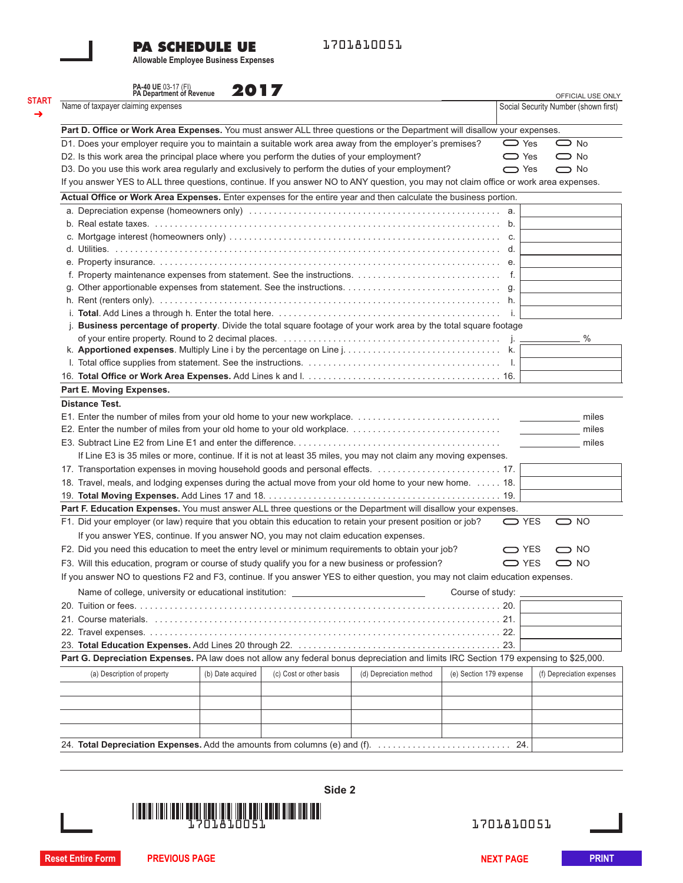## **PA SCHEDULE UE**

1701810051

**Allowable Employee Business Expenses**

| PA-40 UE 03-17 (FI)<br>PA Department of Revenue                                                                                       | 2017              |                         |                         |                         | OFFICIAL USE ONLY                    |
|---------------------------------------------------------------------------------------------------------------------------------------|-------------------|-------------------------|-------------------------|-------------------------|--------------------------------------|
| Name of taxpayer claiming expenses                                                                                                    |                   |                         |                         |                         | Social Security Number (shown first) |
| Part D. Office or Work Area Expenses. You must answer ALL three questions or the Department will disallow your expenses.              |                   |                         |                         |                         |                                      |
| D1. Does your employer require you to maintain a suitable work area away from the employer's premises?                                |                   |                         |                         | $\sum$ Yes              | $\bigcirc$ No                        |
| D2. Is this work area the principal place where you perform the duties of your employment?                                            |                   |                         |                         | $\bigcirc$ Yes          | $\bigcirc$ No                        |
| D3. Do you use this work area regularly and exclusively to perform the duties of your employment?                                     |                   |                         |                         | $\bigcirc$ Yes          | $\bigcirc$ No                        |
| If you answer YES to ALL three questions, continue. If you answer NO to ANY question, you may not claim office or work area expenses. |                   |                         |                         |                         |                                      |
| Actual Office or Work Area Expenses. Enter expenses for the entire year and then calculate the business portion.                      |                   |                         |                         |                         |                                      |
|                                                                                                                                       |                   |                         |                         |                         |                                      |
|                                                                                                                                       |                   |                         |                         |                         |                                      |
|                                                                                                                                       |                   |                         |                         |                         |                                      |
|                                                                                                                                       |                   |                         |                         |                         |                                      |
|                                                                                                                                       |                   |                         |                         |                         |                                      |
|                                                                                                                                       |                   |                         |                         |                         |                                      |
|                                                                                                                                       |                   |                         |                         |                         |                                      |
|                                                                                                                                       |                   |                         |                         |                         |                                      |
|                                                                                                                                       |                   |                         |                         |                         |                                      |
| Business percentage of property. Divide the total square footage of your work area by the total square footage                        |                   |                         |                         |                         |                                      |
|                                                                                                                                       |                   |                         |                         |                         | $\%$                                 |
|                                                                                                                                       |                   |                         |                         |                         |                                      |
|                                                                                                                                       |                   |                         |                         |                         |                                      |
|                                                                                                                                       |                   |                         |                         |                         |                                      |
| Part E. Moving Expenses.                                                                                                              |                   |                         |                         |                         |                                      |
| <b>Distance Test.</b>                                                                                                                 |                   |                         |                         |                         |                                      |
|                                                                                                                                       |                   |                         |                         |                         | miles                                |
|                                                                                                                                       |                   |                         |                         |                         | miles                                |
|                                                                                                                                       |                   |                         |                         |                         | miles                                |
| If Line E3 is 35 miles or more, continue. If it is not at least 35 miles, you may not claim any moving expenses.                      |                   |                         |                         |                         |                                      |
|                                                                                                                                       |                   |                         |                         |                         |                                      |
| 18. Travel, meals, and lodging expenses during the actual move from your old home to your new home. 18.                               |                   |                         |                         |                         |                                      |
|                                                                                                                                       |                   |                         |                         |                         |                                      |
| Part F. Education Expenses. You must answer ALL three questions or the Department will disallow your expenses.                        |                   |                         |                         |                         |                                      |
| F1. Did your employer (or law) require that you obtain this education to retain your present position or job?                         |                   |                         |                         | <b>□</b> YES            | $\bigcirc$ NO                        |
|                                                                                                                                       |                   |                         |                         |                         |                                      |
| If you answer YES, continue. If you answer NO, you may not claim education expenses.                                                  |                   |                         |                         |                         |                                      |
| F2. Did you need this education to meet the entry level or minimum requirements to obtain your job?                                   |                   |                         |                         | □ YES                   | $\bigcirc$ NO                        |
| F3. Will this education, program or course of study qualify you for a new business or profession?                                     |                   |                         |                         | $\bigcirc$ YES          | $\bigcirc$ NO                        |
| If you answer NO to questions F2 and F3, continue. If you answer YES to either question, you may not claim education expenses.        |                   |                         |                         |                         |                                      |
| Name of college, university or educational institution: ________________________                                                      |                   |                         |                         | Course of study:        |                                      |
|                                                                                                                                       |                   |                         |                         | 20.                     |                                      |
|                                                                                                                                       |                   |                         |                         |                         |                                      |
|                                                                                                                                       |                   |                         |                         |                         |                                      |
|                                                                                                                                       |                   |                         |                         |                         |                                      |
| Part G. Depreciation Expenses. PA law does not allow any federal bonus depreciation and limits IRC Section 179 expensing to \$25,000. |                   |                         |                         |                         |                                      |
| (a) Description of property                                                                                                           | (b) Date acquired | (c) Cost or other basis | (d) Depreciation method | (e) Section 179 expense | (f) Depreciation expenses            |
|                                                                                                                                       |                   |                         |                         |                         |                                      |
|                                                                                                                                       |                   |                         |                         |                         |                                      |
|                                                                                                                                       |                   |                         |                         |                         |                                      |
|                                                                                                                                       |                   |                         |                         |                         |                                      |
|                                                                                                                                       |                   |                         |                         |                         |                                      |



1701810051

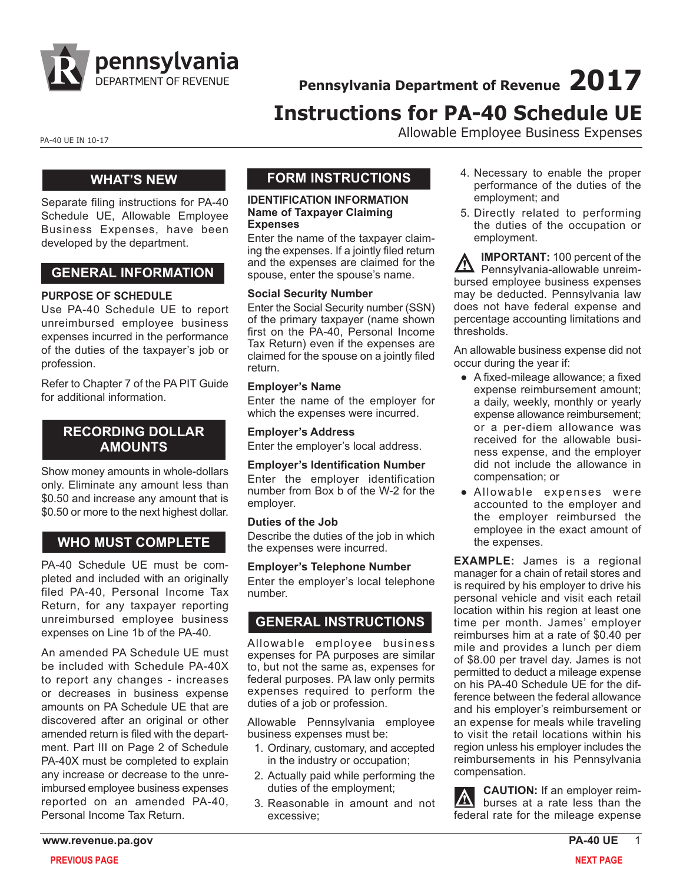

**Pennsylvania Department of Revenue 2017**

# **Instructions for PA-40 Schedule UE**

PA-40 UE IN 10-17 PA-40 UE IN 10-17

## **WHAT'S NEW**

Separate filing instructions for PA-40 Schedule UE, Allowable Employee Business Expenses, have been developed by the department.

## **GENERAL INFORMATION**

#### **PURPOSE OF SCHEDULE**

Use PA-40 Schedule UE to report unreimbursed employee business expenses incurred in the performance of the duties of the taxpayer's job or profession.

Refer to Chapter 7 of the PA PIT Guide for additional information.

## **RECORDING DOLLAR AMOUNTS**

Show money amounts in whole-dollars only. Eliminate any amount less than \$0.50 and increase any amount that is \$0.50 or more to the next highest dollar.

## **WHO MUST COMPLETE**

PA-40 Schedule UE must be completed and included with an originally filed PA-40, Personal Income Tax Return, for any taxpayer reporting unreimbursed employee business expenses on Line 1b of the PA-40.

An amended PA Schedule UE must be included with Schedule PA-40X to report any changes - increases or decreases in business expense amounts on PA Schedule UE that are discovered after an original or other amended return is filed with the department. Part III on Page 2 of Schedule PA-40X must be completed to explain any increase or decrease to the unreimbursed employee business expenses reported on an amended PA-40, Personal Income Tax Return.

## **FORM INSTRUCTIONS**

#### **IDENTIFICATION INFORMATION Name of Taxpayer Claiming Expenses**

Enter the name of the taxpayer claiming the expenses. If a jointly filed return and the expenses are claimed for the spouse, enter the spouse's name.

#### **Social Security Number**

Enter the Social Security number (SSN) of the primary taxpayer (name shown first on the PA-40, Personal Income Tax Return) even if the expenses are claimed for the spouse on a jointly filed return.

#### **Employer's Name**

Enter the name of the employer for which the expenses were incurred.

## **Employer's Address**

Enter the employer's local address.

#### **Employer's Identification Number**

Enter the employer identification number from Box b of the W-2 for the employer.

#### **Duties of the Job**

Describe the duties of the job in which the expenses were incurred.

**Employer's Telephone Number** Enter the employer's local telephone number.

## **GENERAL INSTRUCTIONS**

Allowable employee business expenses for PA purposes are similar to, but not the same as, expenses for federal purposes. PA law only permits expenses required to perform the duties of a job or profession.

Allowable Pennsylvania employee business expenses must be:

- 1. Ordinary, customary, and accepted in the industry or occupation;
- 2. Actually paid while performing the duties of the employment;
- 3. Reasonable in amount and not excessive;
- 4. Necessary to enable the proper performance of the duties of the employment; and
- 5. Directly related to performing the duties of the occupation or employment.

**IMPORTANT:** 100 percent of the Pennsylvania-allowable unreimbursed employee business expenses may be deducted. Pennsylvania law does not have federal expense and percentage accounting limitations and thresholds.

An allowable business expense did not occur during the year if:

- A fixed-mileage allowance; a fixed expense reimbursement amount; a daily, weekly, monthly or yearly expense allowance reimbursement; or a per-diem allowance was received for the allowable business expense, and the employer did not include the allowance in compensation; or
- Allowable expenses were accounted to the employer and the employer reimbursed the employee in the exact amount of the expenses.

**EXAMPLE:** James is a regional manager for a chain of retail stores and is required by his employer to drive his personal vehicle and visit each retail location within his region at least one time per month. James' employer reimburses him at a rate of \$0.40 per mile and provides a lunch per diem of \$8.00 per travel day. James is not permitted to deduct a mileage expense on his PA-40 Schedule UE for the difference between the federal allowance and his employer's reimbursement or an expense for meals while traveling to visit the retail locations within his region unless his employer includes the reimbursements in his Pennsylvania compensation.

**CAUTION:** If an employer reim- $\Lambda$ burses at a rate less than the federal rate for the mileage expense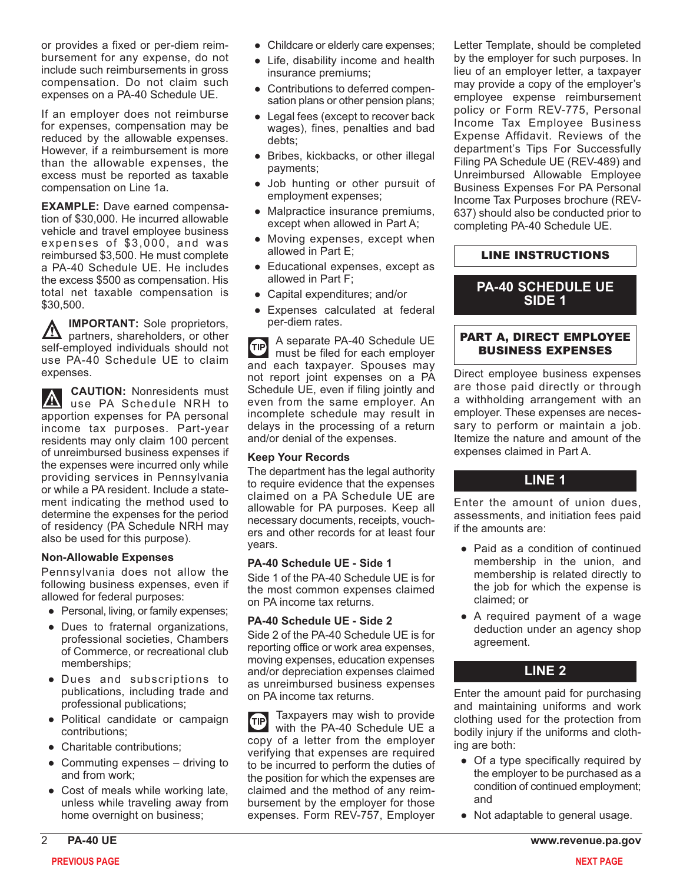or provides a fixed or per-diem reimbursement for any expense, do not include such reimbursements in gross compensation. Do not claim such expenses on a PA-40 Schedule UE.

If an employer does not reimburse for expenses, compensation may be reduced by the allowable expenses. However, if a reimbursement is more than the allowable expenses, the excess must be reported as taxable compensation on Line 1a.

**EXAMPLE:** Dave earned compensation of \$30,000. He incurred allowable vehicle and travel employee business expenses of \$3,000, and was reimbursed \$3,500. He must complete a PA-40 Schedule UE. He includes the excess \$500 as compensation. His total net taxable compensation is \$30,500.

**IMPORTANT:** Sole proprietors,  $\Delta$ partners, shareholders, or other self-employed individuals should not use PA-40 Schedule UE to claim expenses.

**CAUTION:** Nonresidents must A use PA Schedule NRH to apportion expenses for PA personal income tax purposes. Part-year residents may only claim 100 percent of unreimbursed business expenses if the expenses were incurred only while providing services in Pennsylvania or while a PA resident. Include a statement indicating the method used to determine the expenses for the period of residency (PA Schedule NRH may also be used for this purpose).

#### **Non-Allowable Expenses**

Pennsylvania does not allow the following business expenses, even if allowed for federal purposes:

- Personal, living, or family expenses;
- Dues to fraternal organizations, professional societies, Chambers of Commerce, or recreational club memberships;
- Dues and subscriptions to publications, including trade and professional publications;
- Political candidate or campaign contributions;
- Charitable contributions;
- $\bullet$  Commuting expenses driving to and from work;
- Cost of meals while working late, unless while traveling away from home overnight on business;
- Childcare or elderly care expenses;
- Life, disability income and health insurance premiums;
- Contributions to deferred compensation plans or other pension plans;
- Legal fees (except to recover back wages), fines, penalties and bad debts;
- Bribes, kickbacks, or other illegal payments;
- Job hunting or other pursuit of employment expenses;
- Malpractice insurance premiums, except when allowed in Part A;
- Moving expenses, except when allowed in Part E;
- Educational expenses, except as allowed in Part F;
- Capital expenditures; and/or
- Expenses calculated at federal per-diem rates.

A separate PA-40 Schedule UE **d** must be filed for each employer and each taxpayer. Spouses may not report joint expenses on a PA Schedule UE, even if filing jointly and even from the same employer. An incomplete schedule may result in delays in the processing of a return and/or denial of the expenses.

#### **Keep Your Records**

The department has the legal authority to require evidence that the expenses claimed on a PA Schedule UE are allowable for PA purposes. Keep all necessary documents, receipts, vouchers and other records for at least four years.

#### **PA-40 Schedule UE - Side 1**

Side 1 of the PA-40 Schedule UE is for the most common expenses claimed on PA income tax returns.

#### **PA-40 Schedule UE - Side 2**

Side 2 of the PA-40 Schedule UE is for reporting office or work area expenses, moving expenses, education expenses and/or depreciation expenses claimed as unreimbursed business expenses on PA income tax returns.

Taxpayers may wish to provide  $(TIP)$ with the PA-40 Schedule UE a copy of a letter from the employer verifying that expenses are required to be incurred to perform the duties of the position for which the expenses are claimed and the method of any reimbursement by the employer for those expenses. Form REV-757, Employer

Letter Template, should be completed by the employer for such purposes. In lieu of an employer letter, a taxpayer may provide a copy of the employer's employee expense reimbursement policy or Form REV-775, Personal Income Tax Employee Business Expense Affidavit. Reviews of the department's Tips For Successfully Filing PA Schedule UE (REV-489) and Unreimbursed Allowable Employee Business Expenses For PA Personal Income Tax Purposes brochure (REV-637) should also be conducted prior to completing PA-40 Schedule UE.

#### LINE INSTRUCTIONS

#### **PA-40 SCHEDULE UE SIDE 1**

#### PART A, DIRECT EMPLOYEE BUSINESS EXPENSES

Direct employee business expenses are those paid directly or through a withholding arrangement with an employer. These expenses are necessary to perform or maintain a job. Itemize the nature and amount of the expenses claimed in Part A.

## **LINE 1**

Enter the amount of union dues, assessments, and initiation fees paid if the amounts are:

- Paid as a condition of continued membership in the union, and membership is related directly to the job for which the expense is claimed; or
- A required payment of a wage deduction under an agency shop agreement.

## **LINE 2**

Enter the amount paid for purchasing and maintaining uniforms and work clothing used for the protection from bodily injury if the uniforms and clothing are both:

- Of a type specifically required by the employer to be purchased as a condition of continued employment; and
- Not adaptable to general usage.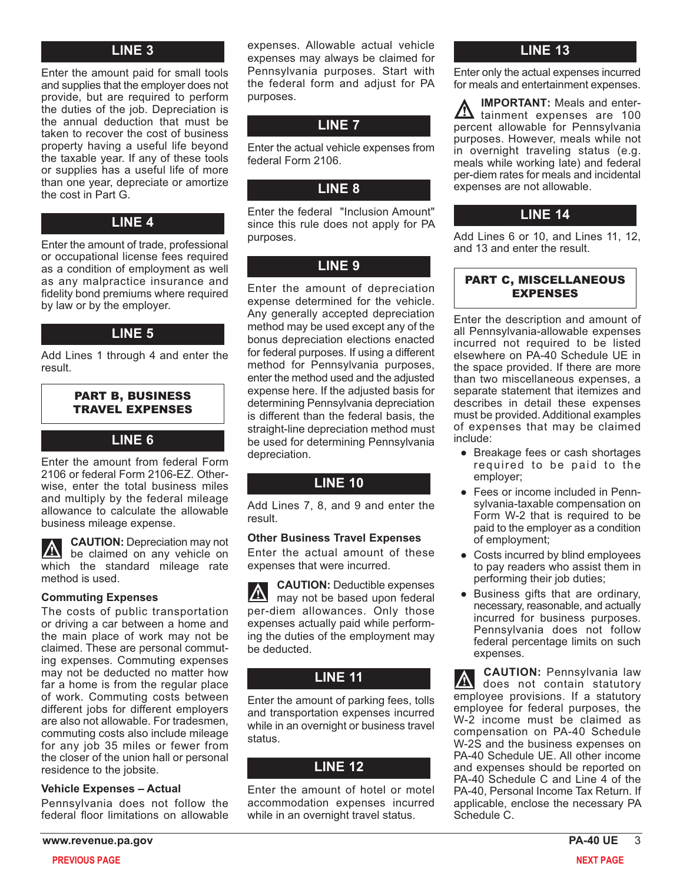#### **LINE 3**

Enter the amount paid for small tools and supplies that the employer does not provide, but are required to perform the duties of the job. Depreciation is the annual deduction that must be taken to recover the cost of business property having a useful life beyond the taxable year. If any of these tools or supplies has a useful life of more than one year, depreciate or amortize the cost in Part G.

## **LINE 4**

Enter the amount of trade, professional or occupational license fees required as a condition of employment as well as any malpractice insurance and fidelity bond premiums where required by law or by the employer.

## **LINE 5**

Add Lines 1 through 4 and enter the result.

#### PART B, BUSINESS TRAVEL EXPENSES

#### **LINE 6**

Enter the amount from federal Form 2106 or federal Form 2106-EZ. Otherwise, enter the total business miles and multiply by the federal mileage allowance to calculate the allowable business mileage expense.

**CAUTION:** Depreciation may not ZN be claimed on any vehicle on which the standard mileage rate method is used.

#### **Commuting Expenses**

The costs of public transportation or driving a car between a home and the main place of work may not be claimed. These are personal commuting expenses. Commuting expenses may not be deducted no matter how far a home is from the regular place of work. Commuting costs between different jobs for different employers are also not allowable. For tradesmen, commuting costs also include mileage for any job 35 miles or fewer from the closer of the union hall or personal residence to the jobsite.

#### **Vehicle Expenses – Actual**

Pennsylvania does not follow the federal floor limitations on allowable

expenses. Allowable actual vehicle expenses may always be claimed for Pennsylvania purposes. Start with the federal form and adjust for PA purposes.

## **LINE 7**

Enter the actual vehicle expenses from federal Form 2106.

## **LINE 8**

Enter the federal "Inclusion Amount" since this rule does not apply for PA purposes.

## **LINE 9**

Enter the amount of depreciation expense determined for the vehicle. Any generally accepted depreciation method may be used except any of the bonus depreciation elections enacted for federal purposes. If using a different method for Pennsylvania purposes, enter the method used and the adjusted expense here. If the adjusted basis for determining Pennsylvania depreciation is different than the federal basis, the straight-line depreciation method must be used for determining Pennsylvania depreciation.

## **LINE 10**

Add Lines 7, 8, and 9 and enter the result.

#### **Other Business Travel Expenses**

Enter the actual amount of these expenses that were incurred.

**CAUTION:** Deductible expenses **A** may not be based upon federal per-diem allowances. Only those expenses actually paid while performing the duties of the employment may be deducted.

## **LINE 11**

Enter the amount of parking fees, tolls and transportation expenses incurred while in an overnight or business travel status.

## **LINE 12**

Enter the amount of hotel or motel accommodation expenses incurred while in an overnight travel status.

## **LINE 13**

Enter only the actual expenses incurred for meals and entertainment expenses.

**IMPORTANT:** Meals and enter-**A** tainment expenses are 100 percent allowable for Pennsylvania purposes. However, meals while not in overnight traveling status (e.g. meals while working late) and federal per-diem rates for meals and incidental expenses are not allowable.

## **LINE 14**

Add Lines 6 or 10, and Lines 11, 12, and 13 and enter the result.

#### PART C, MISCELLANEOUS EXPENSES

Enter the description and amount of all Pennsylvania-allowable expenses incurred not required to be listed elsewhere on PA-40 Schedule UE in the space provided. If there are more than two miscellaneous expenses, a separate statement that itemizes and describes in detail these expenses must be provided. Additional examples of expenses that may be claimed include:

- Breakage fees or cash shortages required to be paid to the employer;
- Fees or income included in Pennsylvania-taxable compensation on Form W-2 that is required to be paid to the employer as a condition of employment;
- Costs incurred by blind employees to pay readers who assist them in performing their job duties;
- Business gifts that are ordinary, necessary, reasonable, and actually incurred for business purposes. Pennsylvania does not follow federal percentage limits on such expenses.

**CAUTION:** Pennsylvania law  $\vert\mathbb{A}\vert$ does not contain statutory employee provisions. If a statutory employee for federal purposes, the W-2 income must be claimed as compensation on PA-40 Schedule W-2S and the business expenses on PA-40 Schedule UE. All other income and expenses should be reported on PA-40 Schedule C and Line 4 of the PA-40, Personal Income Tax Return. If applicable, enclose the necessary PA Schedule C.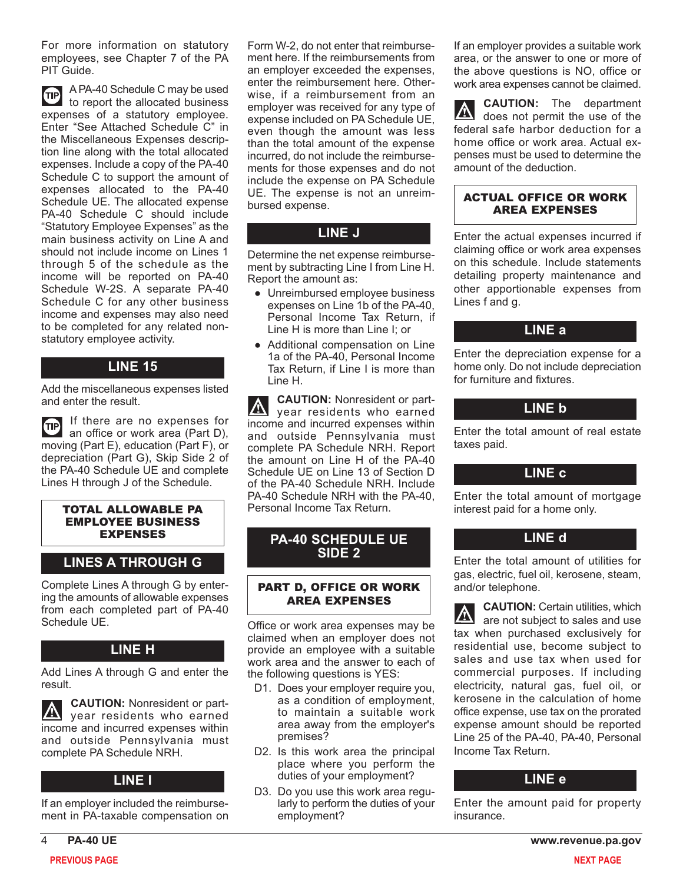For more information on statutory employees, see Chapter 7 of the PA PIT Guide.

TIP A PA-40 Schedule C may be used to report the allocated business expenses of a statutory employee. Enter "See Attached Schedule C" in the Miscellaneous Expenses description line along with the total allocated expenses. Include a copy of the PA-40 Schedule C to support the amount of expenses allocated to the PA-40 Schedule UE. The allocated expense PA-40 Schedule C should include "Statutory Employee Expenses" as the main business activity on Line A and should not include income on Lines 1 through 5 of the schedule as the income will be reported on PA-40 Schedule W-2S. A separate PA-40 Schedule C for any other business income and expenses may also need to be completed for any related nonstatutory employee activity.

## **LINE 15**

Add the miscellaneous expenses listed and enter the result.

If there are no expenses for **TIP** an office or work area (Part D), moving (Part E), education (Part F), or depreciation (Part G), Skip Side 2 of the PA-40 Schedule UE and complete Lines H through J of the Schedule.

#### TOTAL ALLOWABLE PA EMPLOYEE BUSINESS EXPENSES

## **LINES A THROUGH G**

Complete Lines A through G by entering the amounts of allowable expenses from each completed part of PA-40 Schedule UE.

## **LINE H**

Add Lines A through G and enter the result.

**CAUTION:** Nonresident or part- $|\mathbb{A}|$ year residents who earned income and incurred expenses within and outside Pennsylvania must complete PA Schedule NRH.

## **LINE I**

If an employer included the reimbursement in PA-taxable compensation on

Form W-2, do not enter that reimbursement here. If the reimbursements from an employer exceeded the expenses, enter the reimbursement here. Otherwise, if a reimbursement from an employer was received for any type of expense included on PA Schedule UE, even though the amount was less than the total amount of the expense incurred, do not include the reimbursements for those expenses and do not include the expense on PA Schedule UE. The expense is not an unreimbursed expense.

## **LINE J**

Determine the net expense reimbursement by subtracting Line I from Line H. Report the amount as:

- Unreimbursed employee business expenses on Line 1b of the PA-40, Personal Income Tax Return, if Line H is more than Line I; or
- Additional compensation on Line 1a of the PA-40, Personal Income Tax Return, if Line I is more than Line H.

**CAUTION:** Nonresident or partyear residents who earned income and incurred expenses within and outside Pennsylvania must complete PA Schedule NRH. Report the amount on Line H of the PA-40 Schedule UE on Line 13 of Section D of the PA-40 Schedule NRH. Include PA-40 Schedule NRH with the PA-40, Personal Income Tax Return.

## **PA-40 SCHEDULE UE SIDE 2**

#### PART D, OFFICE OR WORK AREA EXPENSES

Office or work area expenses may be claimed when an employer does not provide an employee with a suitable work area and the answer to each of the following questions is YES:

- D1. Does your employer require you. as a condition of employment, to maintain a suitable work area away from the employer's premises?
- D2. Is this work area the principal place where you perform the duties of your employment?
- D3. Do you use this work area regularly to perform the duties of your employment?

If an employer provides a suitable work area, or the answer to one or more of the above questions is NO, office or work area expenses cannot be claimed.

**CAUTION:** The department does not permit the use of the federal safe harbor deduction for a home office or work area. Actual expenses must be used to determine the amount of the deduction.

#### ACTUAL OFFICE OR WORK AREA EXPENSES

Enter the actual expenses incurred if claiming office or work area expenses on this schedule. Include statements detailing property maintenance and other apportionable expenses from Lines f and g.

## **LINE a**

Enter the depreciation expense for a home only. Do not include depreciation for furniture and fixtures.

## **LINE b**

Enter the total amount of real estate taxes paid.

#### **LINE c**

Enter the total amount of mortgage interest paid for a home only.

## **LINE d**

Enter the total amount of utilities for gas, electric, fuel oil, kerosene, steam, and/or telephone.

**CAUTION:** Certain utilities, which are not subject to sales and use tax when purchased exclusively for residential use, become subject to sales and use tax when used for commercial purposes. If including electricity, natural gas, fuel oil, or kerosene in the calculation of home office expense, use tax on the prorated expense amount should be reported Line 25 of the PA-40, PA-40, Personal Income Tax Return.

#### **LINE e**

Enter the amount paid for property insurance.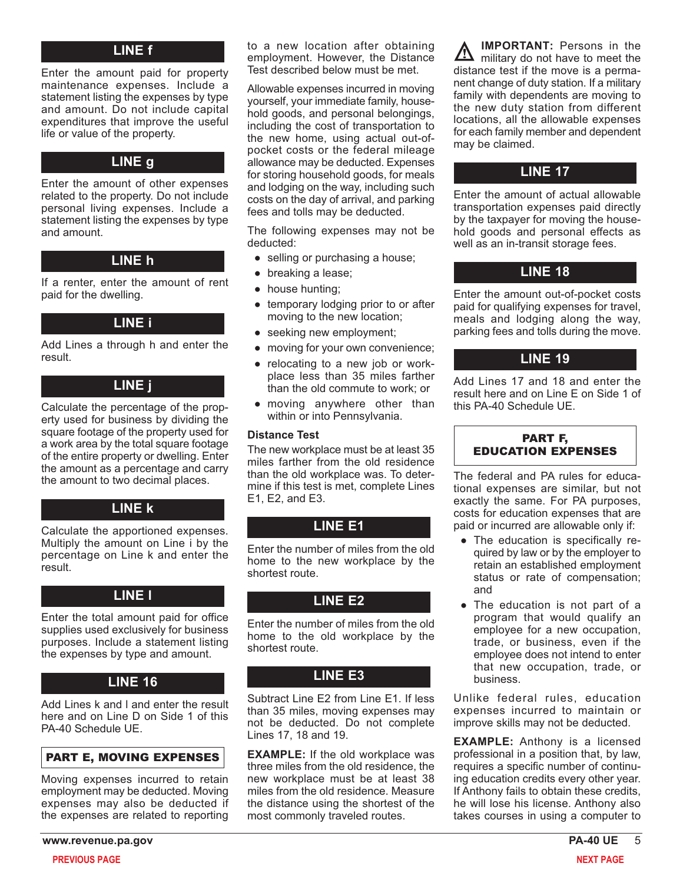#### **LINE f**

Enter the amount paid for property maintenance expenses. Include a statement listing the expenses by type and amount. Do not include capital expenditures that improve the useful life or value of the property.

Enter the amount of other expenses related to the property. Do not include personal living expenses. Include a statement listing the expenses by type and amount.

## **LINE h**

If a renter, enter the amount of rent paid for the dwelling.

#### **LINE i**

Add Lines a through h and enter the result.

## **LINE j**

Calculate the percentage of the property used for business by dividing the square footage of the property used for a work area by the total square footage of the entire property or dwelling. Enter the amount as a percentage and carry the amount to two decimal places.

## **LINE k**

Calculate the apportioned expenses. Multiply the amount on Line i by the percentage on Line k and enter the result.

#### **LINE l**

Enter the total amount paid for office supplies used exclusively for business purposes. Include a statement listing the expenses by type and amount.

## **LINE 16**

Add Lines k and l and enter the result here and on Line D on Side 1 of this PA-40 Schedule UE.

#### PART E, MOVING EXPENSES

Moving expenses incurred to retain employment may be deducted. Moving expenses may also be deducted if the expenses are related to reporting

to a new location after obtaining employment. However, the Distance Test described below must be met.

Allowable expenses incurred in moving yourself, your immediate family, household goods, and personal belongings, including the cost of transportation to the new home, using actual out-ofpocket costs or the federal mileage allowance may be deducted. Expenses **LINE g** allowance may be deducted. Expenses<br>
for storing household goods, for meals and lodging on the way, including such costs on the day of arrival, and parking fees and tolls may be deducted.

> The following expenses may not be deducted:

- selling or purchasing a house;
- breaking a lease;
- house hunting;
- temporary lodging prior to or after moving to the new location;
- seeking new employment;
- moving for your own convenience;
- relocating to a new job or workplace less than 35 miles farther than the old commute to work; or
- moving anywhere other than within or into Pennsylvania.

#### **Distance Test**

The new workplace must be at least 35 miles farther from the old residence than the old workplace was. To determine if this test is met, complete Lines E1, E2, and E3.

## **LINE E1**

Enter the number of miles from the old home to the new workplace by the shortest route.

## **LINE E2**

Enter the number of miles from the old home to the old workplace by the shortest route.

## **LINE E3**

Subtract Line E2 from Line E1. If less than 35 miles, moving expenses may not be deducted. Do not complete Lines 17, 18 and 19.

**EXAMPLE:** If the old workplace was three miles from the old residence, the new workplace must be at least 38 miles from the old residence. Measure the distance using the shortest of the most commonly traveled routes.

**IMPORTANT:** Persons in the military do not have to meet the distance test if the move is a permanent change of duty station. If a military family with dependents are moving to the new duty station from different locations, all the allowable expenses for each family member and dependent may be claimed.

Enter the amount of actual allowable transportation expenses paid directly by the taxpayer for moving the household goods and personal effects as well as an in-transit storage fees.

#### **LINE 18**

Enter the amount out-of-pocket costs paid for qualifying expenses for travel, meals and lodging along the way, parking fees and tolls during the move.

## **LINE 19**

Add Lines 17 and 18 and enter the result here and on Line E on Side 1 of this PA-40 Schedule UE.



The federal and PA rules for educational expenses are similar, but not exactly the same. For PA purposes, costs for education expenses that are paid or incurred are allowable only if:

- The education is specifically required by law or by the employer to retain an established employment status or rate of compensation; and
- The education is not part of a program that would qualify an employee for a new occupation, trade, or business, even if the employee does not intend to enter that new occupation, trade, or business.

Unlike federal rules, education expenses incurred to maintain or improve skills may not be deducted.

**EXAMPLE:** Anthony is a licensed professional in a position that, by law, requires a specific number of continuing education credits every other year. If Anthony fails to obtain these credits, he will lose his license. Anthony also takes courses in using a computer to